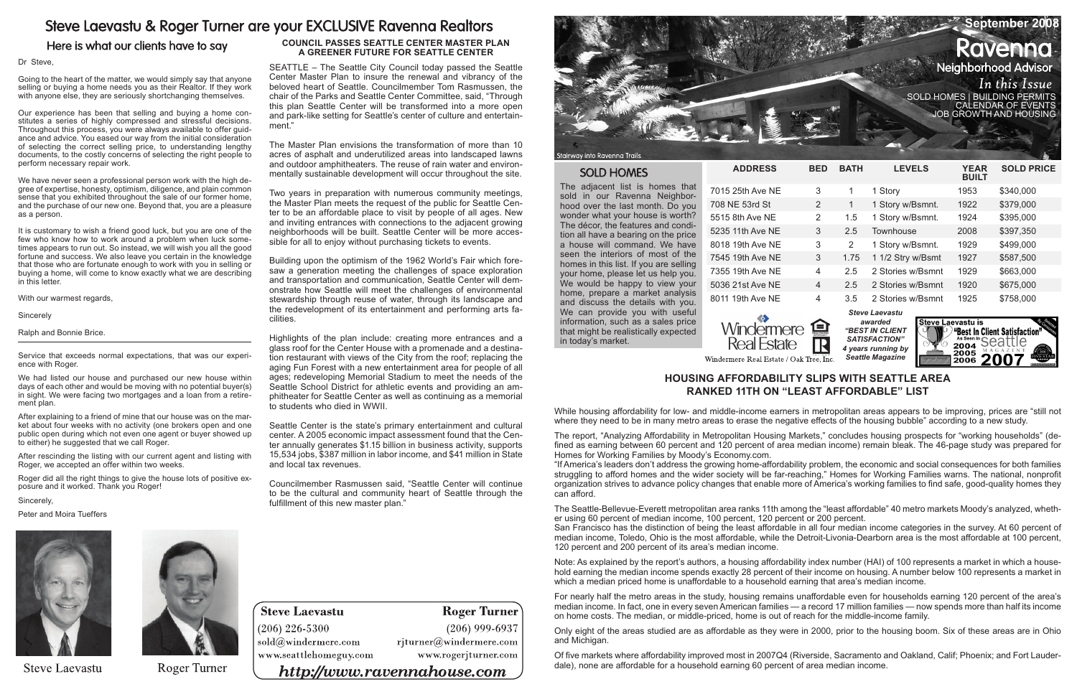## Steve Laevastu & Roger Turner are your EXCLUSIVE Ravenna Realtors

Here is what our clients have to say

#### Dr Steve,

Going to the heart of the matter, we would simply say that anyone selling or buying a home needs you as their Realtor. If they work with anyone else, they are seriously shortchanging themselves.

Our experience has been that selling and buying a home constitutes a series of highly compressed and stressful decisions. Throughout this process, you were always available to offer guidance and advice. You eased our way from the initial consideration of selecting the correct selling price, to understanding lengthy documents, to the costly concerns of selecting the right people to perform necessary repair work.

We have never seen a professional person work with the high degree of expertise, honesty, optimism, diligence, and plain common sense that you exhibited throughout the sale of our former home, and the purchase of our new one. Beyond that, you are a pleasure as a person.

It is customary to wish a friend good luck, but you are one of the few who know how to work around a problem when luck sometimes appears to run out. So instead, we will wish you all the good fortune and success. We also leave you certain in the knowledge that those who are fortunate enough to work with you in selling or buying a home, will come to know exactly what we are describing in this letter.

With our warmest regards,

Sincerely

Ralph and Bonnie Brice.

Service that exceeds normal expectations, that was our experience with Roger.

We had listed our house and purchased our new house within days of each other and would be moving with no potential buyer(s) in sight. We were facing two mortgages and a loan from a retirement plan.

|  |                                                                               | September 2008              |  |
|--|-------------------------------------------------------------------------------|-----------------------------|--|
|  |                                                                               | <b>Ravenna</b>              |  |
|  |                                                                               | <b>Neighborhood Advisor</b> |  |
|  |                                                                               | In this Issue               |  |
|  | SOLD HOMES   BUILDING PERMITS<br>CALENDAR OF EVENTS<br>JOB GROWTH AND HOUSING |                             |  |
|  |                                                                               |                             |  |
|  |                                                                               |                             |  |

After explaining to a friend of mine that our house was on the market about four weeks with no activity (one brokers open and one public open during which not even one agent or buyer showed up to either) he suggested that we call Roger.

After rescinding the listing with our current agent and listing with Roger, we accepted an offer within two weeks.

Roger did all the right things to give the house lots of positive exposure and it worked. Thank you Roger!

Sincerely,

Peter and Moira Tueffers



**Steve Laevastu** 



Roger Turner

The adjacent list is homes that sold in our Ravenna Neighborhood over the last month. Do you wonder what your house is worth? The décor, the features and condition all have a bearing on the price a house will command. We have seen the interiors of most of the homes in this list. If you are selling your home, please let us help you. We would be happy to view your home, prepare a market analysis and discuss the details with you. We can provide you with useful information, such as a sales price that might be realistically expected in today's market.

 $ADDRESS$ 

7015 25th Ave NE 708 NE 53rd St 5515 8th Ave NE 5235 11th Ave NE 8018 19th Ave NE 7545 19th Ave NE 7355 19th Ave NE 5036 21st Ave NE 8011 19th Ave NE



| BED | BATH | <b>LEVELS</b>     | <b>YEAR</b><br><b>BUILT</b> | <b>SOLD PRICE</b> |
|-----|------|-------------------|-----------------------------|-------------------|
| 3   | 1    | 1 Story           | 1953                        | \$340,000         |
| 2   | 1    | 1 Story w/Bsmnt.  | 1922                        | \$379,000         |
| 2   | 1.5  | 1 Story w/Bsmnt.  | 1924                        | \$395,000         |
| 3   | 2.5  | Townhouse         | 2008                        | \$397,350         |
| 3   | 2    | 1 Story w/Bsmnt.  | 1929                        | \$499,000         |
| 3   | 1.75 | 1 1/2 Stry w/Bsmt | 1927                        | \$587,500         |
| 4   | 2.5  | 2 Stories w/Bsmnt | 1929                        | \$663,000         |
| 4   | 2.5  | 2 Stories w/Bsmnt | 1920                        | \$675,000         |
| 4   | 3.5  | 2 Stories w/Bsmnt | 1925                        | \$758,000         |

*Steve Laevastu awarded "Best In Client Satisfaction" 4 years running by Seattle Magazine*



## **Housing Affordability Slips with Seattle Area Ranked 11th on "Least Affordable" List**

While housing affordability for low- and middle-income earners in metropolitan areas appears to be improving, prices are "still not where they need to be in many metro areas to erase the negative effects of the housing bubble" according to a new study.

The report, "Analyzing Affordability in Metropolitan Housing Markets," concludes housing prospects for "working households" (defined as earning between 60 percent and 120 percent of area median income) remain bleak. The 46-page study was prepared for Homes for Working Families by Moody's Economy.com.

Councilmember Rasmussen said, "Seattle Center will continue to be the cultural and community heart of Seattle through the fulfillment of this new master plan."

## **Steve Laevastu**  $(206)$  226-5300

 $\mathrm{sold}(\widehat{a}$ windermere.com www.seattlehomeguy.com

## **Roger Turner**  $(206)$  999-6937

rjturner@windermere.com

www.rogerjturner.com

## http://www.ravennahouse.com



Stairway into Ravenna Trail

#### **SOLD HOMES**

"If America's leaders don't address the growing home-affordability problem, the economic and social consequences for both families struggling to afford homes and the wider society will be far-reaching," Homes for Working Families warns. The national, nonprofit organization strives to advance policy changes that enable more of America's working families to find safe, good-quality homes they can afford.

The Seattle-Bellevue-Everett metropolitan area ranks 11th among the "least affordable" 40 metro markets Moody's analyzed, whether using 60 percent of median income, 100 percent, 120 percent or 200 percent. San Francisco has the distinction of being the least affordable in all four median income categories in the survey. At 60 percent of median income, Toledo, Ohio is the most affordable, while the Detroit-Livonia-Dearborn area is the most affordable at 100 percent, 120 percent and 200 percent of its area's median income.

Note: As explained by the report's authors, a housing affordability index number (HAI) of 100 represents a market in which a household earning the median income spends exactly 28 percent of their income on housing. A number below 100 represents a market in which a median priced home is unaffordable to a household earning that area's median income.

For nearly half the metro areas in the study, housing remains unaffordable even for households earning 120 percent of the area's median income. In fact, one in every seven American families — a record 17 million families — now spends more than half its income on home costs. The median, or middle-priced, home is out of reach for the middle-income family.

Only eight of the areas studied are as affordable as they were in 2000, prior to the housing boom. Six of these areas are in Ohio and Michigan.

Of five markets where affordability improved most in 2007Q4 (Riverside, Sacramento and Oakland, Calif; Phoenix; and Fort Lauderdale), none are affordable for a household earning 60 percent of area median income.

#### **COUNCIL PASSES SEATTLE CENTER MASTER PLAN A Greener Future for Seattle Center**

SEATTLE – The Seattle City Council today passed the Seattle Center Master Plan to insure the renewal and vibrancy of the beloved heart of Seattle. Councilmember Tom Rasmussen, the chair of the Parks and Seattle Center Committee, said, "Through this plan Seattle Center will be transformed into a more open and park-like setting for Seattle's center of culture and entertainment."

The Master Plan envisions the transformation of more than 10 acres of asphalt and underutilized areas into landscaped lawns and outdoor amphitheaters. The reuse of rain water and environmentally sustainable development will occur throughout the site.

Two years in preparation with numerous community meetings, the Master Plan meets the request of the public for Seattle Center to be an affordable place to visit by people of all ages. New and inviting entrances with connections to the adjacent growing neighborhoods will be built. Seattle Center will be more accessible for all to enjoy without purchasing tickets to events.

Building upon the optimism of the 1962 World's Fair which foresaw a generation meeting the challenges of space exploration and transportation and communication, Seattle Center will demonstrate how Seattle will meet the challenges of environmental stewardship through reuse of water, through its landscape and the redevelopment of its entertainment and performing arts facilities.

Highlights of the plan include: creating more entrances and a glass roof for the Center House with a promenade and a destination restaurant with views of the City from the roof; replacing the aging Fun Forest with a new entertainment area for people of all ages; redeveloping Memorial Stadium to meet the needs of the Seattle School District for athletic events and providing an amphitheater for Seattle Center as well as continuing as a memorial to students who died in WWII.

Seattle Center is the state's primary entertainment and cultural center. A 2005 economic impact assessment found that the Center annually generates \$1.15 billion in business activity, supports 15,534 jobs, \$387 million in labor income, and \$41 million in State and local tax revenues.